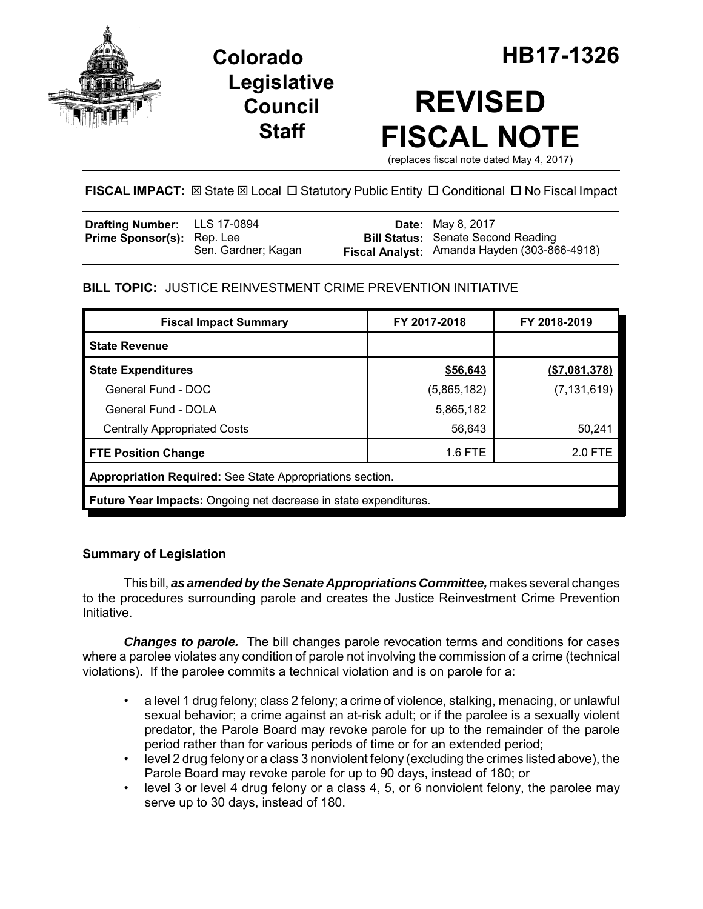

**Legislative Council Staff**

# **REVISED FISCAL NOTE**

(replaces fiscal note dated May 4, 2017)

FISCAL IMPACT:  $\boxtimes$  State  $\boxtimes$  Local  $\Box$  Statutory Public Entity  $\Box$  Conditional  $\Box$  No Fiscal Impact

| <b>Drafting Number:</b> LLS 17-0894 |                     | <b>Date:</b> May 8, 2017                     |
|-------------------------------------|---------------------|----------------------------------------------|
| <b>Prime Sponsor(s):</b> Rep. Lee   | Sen. Gardner; Kagan | <b>Bill Status:</b> Senate Second Reading    |
|                                     |                     | Fiscal Analyst: Amanda Hayden (303-866-4918) |

# **BILL TOPIC:** JUSTICE REINVESTMENT CRIME PREVENTION INITIATIVE

| <b>Fiscal Impact Summary</b>                                     | FY 2017-2018 | FY 2018-2019  |  |  |  |
|------------------------------------------------------------------|--------------|---------------|--|--|--|
| <b>State Revenue</b>                                             |              |               |  |  |  |
| <b>State Expenditures</b>                                        | \$56,643     | (\$7,081,378) |  |  |  |
| General Fund - DOC                                               | (5,865,182)  | (7, 131, 619) |  |  |  |
| General Fund - DOLA                                              | 5,865,182    |               |  |  |  |
| <b>Centrally Appropriated Costs</b>                              | 56,643       | 50,241        |  |  |  |
| <b>FTE Position Change</b>                                       | 1.6 FTE      | 2.0 FTE       |  |  |  |
| <b>Appropriation Required:</b> See State Appropriations section. |              |               |  |  |  |
| Future Year Impacts: Ongoing net decrease in state expenditures. |              |               |  |  |  |

# **Summary of Legislation**

This bill, *as amended by the Senate Appropriations Committee,* makes several changes to the procedures surrounding parole and creates the Justice Reinvestment Crime Prevention Initiative.

*Changes to parole.* The bill changes parole revocation terms and conditions for cases where a parolee violates any condition of parole not involving the commission of a crime (technical violations). If the parolee commits a technical violation and is on parole for a:

- a level 1 drug felony; class 2 felony; a crime of violence, stalking, menacing, or unlawful sexual behavior; a crime against an at-risk adult; or if the parolee is a sexually violent predator, the Parole Board may revoke parole for up to the remainder of the parole period rather than for various periods of time or for an extended period;
- level 2 drug felony or a class 3 nonviolent felony (excluding the crimes listed above), the Parole Board may revoke parole for up to 90 days, instead of 180; or
- level 3 or level 4 drug felony or a class 4, 5, or 6 nonviolent felony, the parolee may serve up to 30 days, instead of 180.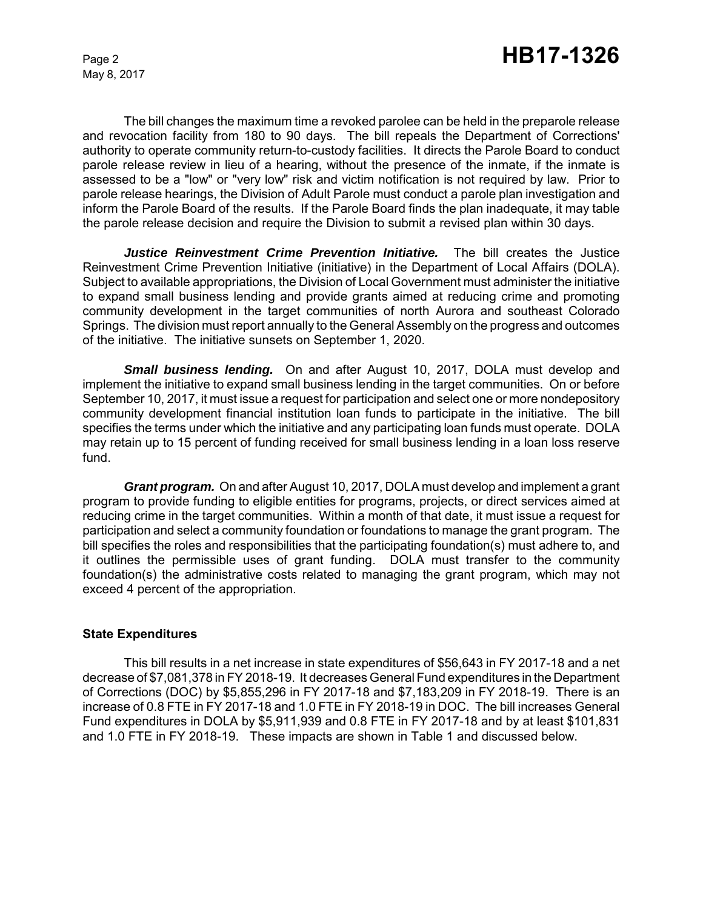May 8, 2017

The bill changes the maximum time a revoked parolee can be held in the preparole release and revocation facility from 180 to 90 days. The bill repeals the Department of Corrections' authority to operate community return-to-custody facilities. It directs the Parole Board to conduct parole release review in lieu of a hearing, without the presence of the inmate, if the inmate is assessed to be a "low" or "very low" risk and victim notification is not required by law. Prior to parole release hearings, the Division of Adult Parole must conduct a parole plan investigation and inform the Parole Board of the results. If the Parole Board finds the plan inadequate, it may table the parole release decision and require the Division to submit a revised plan within 30 days.

*Justice Reinvestment Crime Prevention Initiative.* The bill creates the Justice Reinvestment Crime Prevention Initiative (initiative) in the Department of Local Affairs (DOLA). Subject to available appropriations, the Division of Local Government must administer the initiative to expand small business lending and provide grants aimed at reducing crime and promoting community development in the target communities of north Aurora and southeast Colorado Springs. The division must report annually to the General Assembly on the progress and outcomes of the initiative. The initiative sunsets on September 1, 2020.

*Small business lending.* On and after August 10, 2017, DOLA must develop and implement the initiative to expand small business lending in the target communities. On or before September 10, 2017, it must issue a request for participation and select one or more nondepository community development financial institution loan funds to participate in the initiative. The bill specifies the terms under which the initiative and any participating loan funds must operate. DOLA may retain up to 15 percent of funding received for small business lending in a loan loss reserve fund.

*Grant program.* On and after August 10, 2017, DOLA must develop and implement a grant program to provide funding to eligible entities for programs, projects, or direct services aimed at reducing crime in the target communities. Within a month of that date, it must issue a request for participation and select a community foundation or foundations to manage the grant program. The bill specifies the roles and responsibilities that the participating foundation(s) must adhere to, and it outlines the permissible uses of grant funding. DOLA must transfer to the community foundation(s) the administrative costs related to managing the grant program, which may not exceed 4 percent of the appropriation.

#### **State Expenditures**

This bill results in a net increase in state expenditures of \$56,643 in FY 2017-18 and a net decrease of \$7,081,378 in FY 2018-19. It decreases General Fund expenditures in the Department of Corrections (DOC) by \$5,855,296 in FY 2017-18 and \$7,183,209 in FY 2018-19. There is an increase of 0.8 FTE in FY 2017-18 and 1.0 FTE in FY 2018-19 in DOC. The bill increases General Fund expenditures in DOLA by \$5,911,939 and 0.8 FTE in FY 2017-18 and by at least \$101,831 and 1.0 FTE in FY 2018-19. These impacts are shown in Table 1 and discussed below.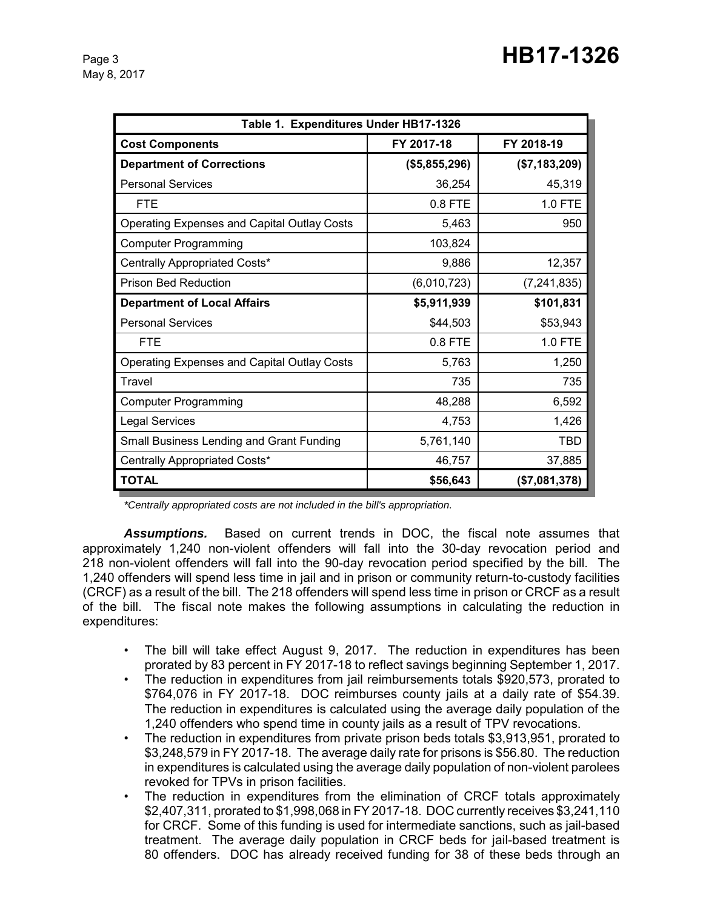May 8, 2017

| Table 1. Expenditures Under HB17-1326              |               |               |  |  |  |
|----------------------------------------------------|---------------|---------------|--|--|--|
| <b>Cost Components</b>                             | FY 2017-18    | FY 2018-19    |  |  |  |
| <b>Department of Corrections</b>                   | (\$5,855,296) | (\$7,183,209) |  |  |  |
| <b>Personal Services</b>                           | 36,254        | 45,319        |  |  |  |
| <b>FTE</b>                                         | 0.8 FTE       | 1.0 FTE       |  |  |  |
| <b>Operating Expenses and Capital Outlay Costs</b> | 5,463         | 950           |  |  |  |
| <b>Computer Programming</b>                        | 103,824       |               |  |  |  |
| Centrally Appropriated Costs*                      | 9,886         | 12,357        |  |  |  |
| <b>Prison Bed Reduction</b>                        | (6,010,723)   | (7, 241, 835) |  |  |  |
| <b>Department of Local Affairs</b>                 | \$5,911,939   | \$101,831     |  |  |  |
| <b>Personal Services</b>                           | \$44,503      | \$53,943      |  |  |  |
| <b>FTE</b>                                         | $0.8$ FTE     | 1.0 FTE       |  |  |  |
| <b>Operating Expenses and Capital Outlay Costs</b> | 5,763         | 1,250         |  |  |  |
| Travel                                             | 735           | 735           |  |  |  |
| <b>Computer Programming</b>                        | 48,288        | 6,592         |  |  |  |
| <b>Legal Services</b>                              | 4,753         | 1,426         |  |  |  |
| Small Business Lending and Grant Funding           | 5,761,140     | TBD           |  |  |  |
| Centrally Appropriated Costs*                      | 46,757        | 37,885        |  |  |  |
| <b>TOTAL</b>                                       | \$56,643      | (\$7,081,378) |  |  |  |

*\*Centrally appropriated costs are not included in the bill's appropriation.*

*Assumptions.* Based on current trends in DOC, the fiscal note assumes that approximately 1,240 non-violent offenders will fall into the 30-day revocation period and 218 non-violent offenders will fall into the 90-day revocation period specified by the bill. The 1,240 offenders will spend less time in jail and in prison or community return-to-custody facilities (CRCF) as a result of the bill. The 218 offenders will spend less time in prison or CRCF as a result of the bill. The fiscal note makes the following assumptions in calculating the reduction in expenditures:

- The bill will take effect August 9, 2017. The reduction in expenditures has been prorated by 83 percent in FY 2017-18 to reflect savings beginning September 1, 2017.
- The reduction in expenditures from jail reimbursements totals \$920,573, prorated to \$764,076 in FY 2017-18. DOC reimburses county jails at a daily rate of \$54.39. The reduction in expenditures is calculated using the average daily population of the 1,240 offenders who spend time in county jails as a result of TPV revocations.
- The reduction in expenditures from private prison beds totals \$3,913,951, prorated to \$3,248,579 in FY 2017-18. The average daily rate for prisons is \$56.80. The reduction in expenditures is calculated using the average daily population of non-violent parolees revoked for TPVs in prison facilities.
- The reduction in expenditures from the elimination of CRCF totals approximately \$2,407,311, prorated to \$1,998,068 in FY 2017-18. DOC currently receives \$3,241,110 for CRCF. Some of this funding is used for intermediate sanctions, such as jail-based treatment. The average daily population in CRCF beds for jail-based treatment is 80 offenders. DOC has already received funding for 38 of these beds through an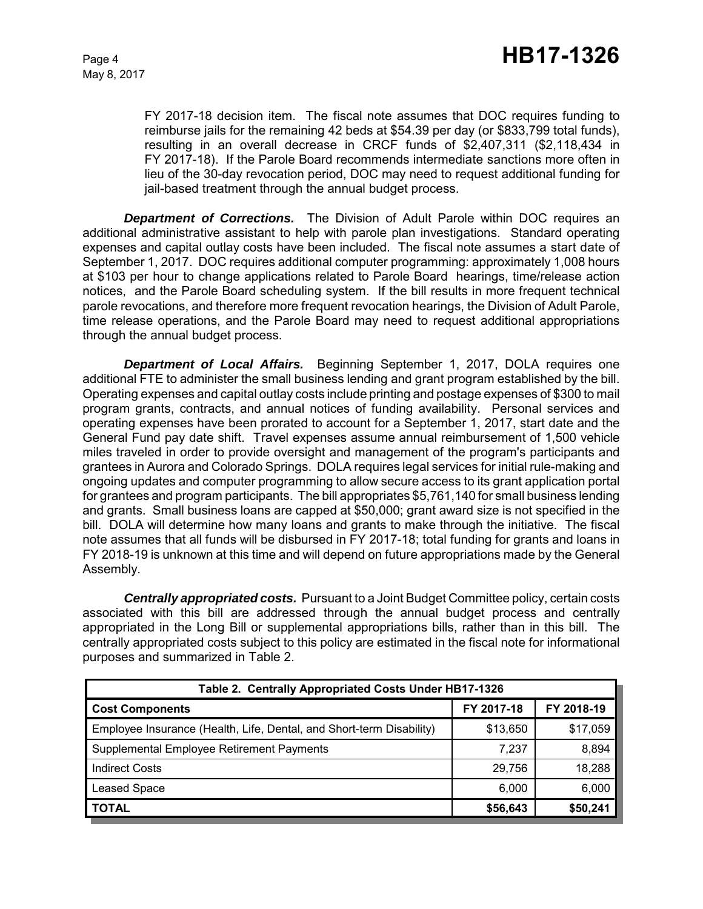FY 2017-18 decision item. The fiscal note assumes that DOC requires funding to reimburse jails for the remaining 42 beds at \$54.39 per day (or \$833,799 total funds), resulting in an overall decrease in CRCF funds of \$2,407,311 (\$2,118,434 in FY 2017-18). If the Parole Board recommends intermediate sanctions more often in lieu of the 30-day revocation period, DOC may need to request additional funding for jail-based treatment through the annual budget process.

**Department of Corrections.** The Division of Adult Parole within DOC requires an additional administrative assistant to help with parole plan investigations. Standard operating expenses and capital outlay costs have been included. The fiscal note assumes a start date of September 1, 2017. DOC requires additional computer programming: approximately 1,008 hours at \$103 per hour to change applications related to Parole Board hearings, time/release action notices, and the Parole Board scheduling system. If the bill results in more frequent technical parole revocations, and therefore more frequent revocation hearings, the Division of Adult Parole, time release operations, and the Parole Board may need to request additional appropriations through the annual budget process.

*Department of Local Affairs.* Beginning September 1, 2017, DOLA requires one additional FTE to administer the small business lending and grant program established by the bill. Operating expenses and capital outlay costs include printing and postage expenses of \$300 to mail program grants, contracts, and annual notices of funding availability. Personal services and operating expenses have been prorated to account for a September 1, 2017, start date and the General Fund pay date shift. Travel expenses assume annual reimbursement of 1,500 vehicle miles traveled in order to provide oversight and management of the program's participants and grantees in Aurora and Colorado Springs. DOLA requires legal services for initial rule-making and ongoing updates and computer programming to allow secure access to its grant application portal for grantees and program participants. The bill appropriates \$5,761,140 for small business lending and grants. Small business loans are capped at \$50,000; grant award size is not specified in the bill. DOLA will determine how many loans and grants to make through the initiative. The fiscal note assumes that all funds will be disbursed in FY 2017-18; total funding for grants and loans in FY 2018-19 is unknown at this time and will depend on future appropriations made by the General Assembly.

*Centrally appropriated costs.* Pursuant to a Joint Budget Committee policy, certain costs associated with this bill are addressed through the annual budget process and centrally appropriated in the Long Bill or supplemental appropriations bills, rather than in this bill. The centrally appropriated costs subject to this policy are estimated in the fiscal note for informational purposes and summarized in Table 2.

| Table 2. Centrally Appropriated Costs Under HB17-1326                |            |            |  |  |  |  |
|----------------------------------------------------------------------|------------|------------|--|--|--|--|
| <b>Cost Components</b>                                               | FY 2017-18 | FY 2018-19 |  |  |  |  |
| Employee Insurance (Health, Life, Dental, and Short-term Disability) | \$13,650   | \$17,059   |  |  |  |  |
| Supplemental Employee Retirement Payments                            | 7.237      | 8,894      |  |  |  |  |
| <b>Indirect Costs</b>                                                | 29.756     | 18,288     |  |  |  |  |
| <b>Leased Space</b>                                                  | 6,000      | 6,000      |  |  |  |  |
| <b>TOTAL</b>                                                         | \$56,643   | \$50,241   |  |  |  |  |